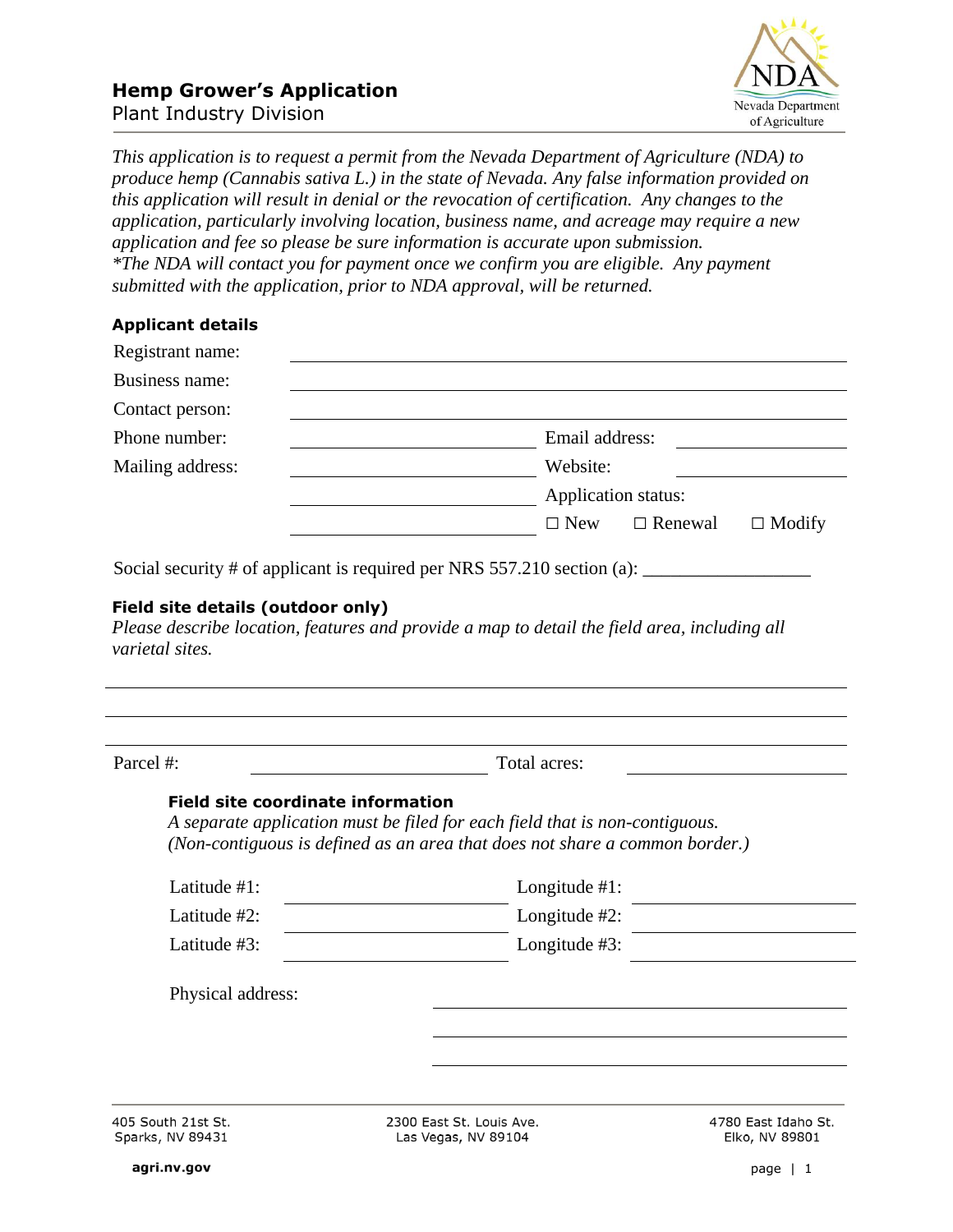

*This application is to request a permit from the Nevada Department of Agriculture (NDA) to produce hemp (Cannabis sativa L.) in the state of Nevada. Any false information provided on this application will result in denial or the revocation of certification. Any changes to the application, particularly involving location, business name, and acreage may require a new application and fee so please be sure information is accurate upon submission. \*The NDA will contact you for payment once we confirm you are eligible. Any payment submitted with the application, prior to NDA approval, will be returned.*

## **Applicant details**

| Registrant name: |                                               |  |  |
|------------------|-----------------------------------------------|--|--|
| Business name:   |                                               |  |  |
| Contact person:  |                                               |  |  |
| Phone number:    | Email address:                                |  |  |
| Mailing address: | Website:                                      |  |  |
|                  | Application status:                           |  |  |
|                  | $\Box$ New<br>$\Box$ Renewal<br>$\Box$ Modify |  |  |

Social security  $\#$  of applicant is required per NRS 557.210 section (a):

#### **Field site details (outdoor only)**

*Please describe location, features and provide a map to detail the field area, including all varietal sites.*

| Parcel #:                                | Total acres:                                                                                                                                               |                     |
|------------------------------------------|------------------------------------------------------------------------------------------------------------------------------------------------------------|---------------------|
| <b>Field site coordinate information</b> | A separate application must be filed for each field that is non-contiguous.<br>(Non-contiguous is defined as an area that does not share a common border.) |                     |
| Latitude $#1$ :                          | Longitude $#1$ :                                                                                                                                           |                     |
| Latitude $#2$ :                          | Longitude $#2$ :                                                                                                                                           |                     |
| Latitude $#3$ :                          | Longitude $#3$ :                                                                                                                                           |                     |
| Physical address:                        |                                                                                                                                                            |                     |
|                                          |                                                                                                                                                            |                     |
| 405 South 21st St.                       | 2300 East St. Louis Ave.                                                                                                                                   | 4780 East Idaho St. |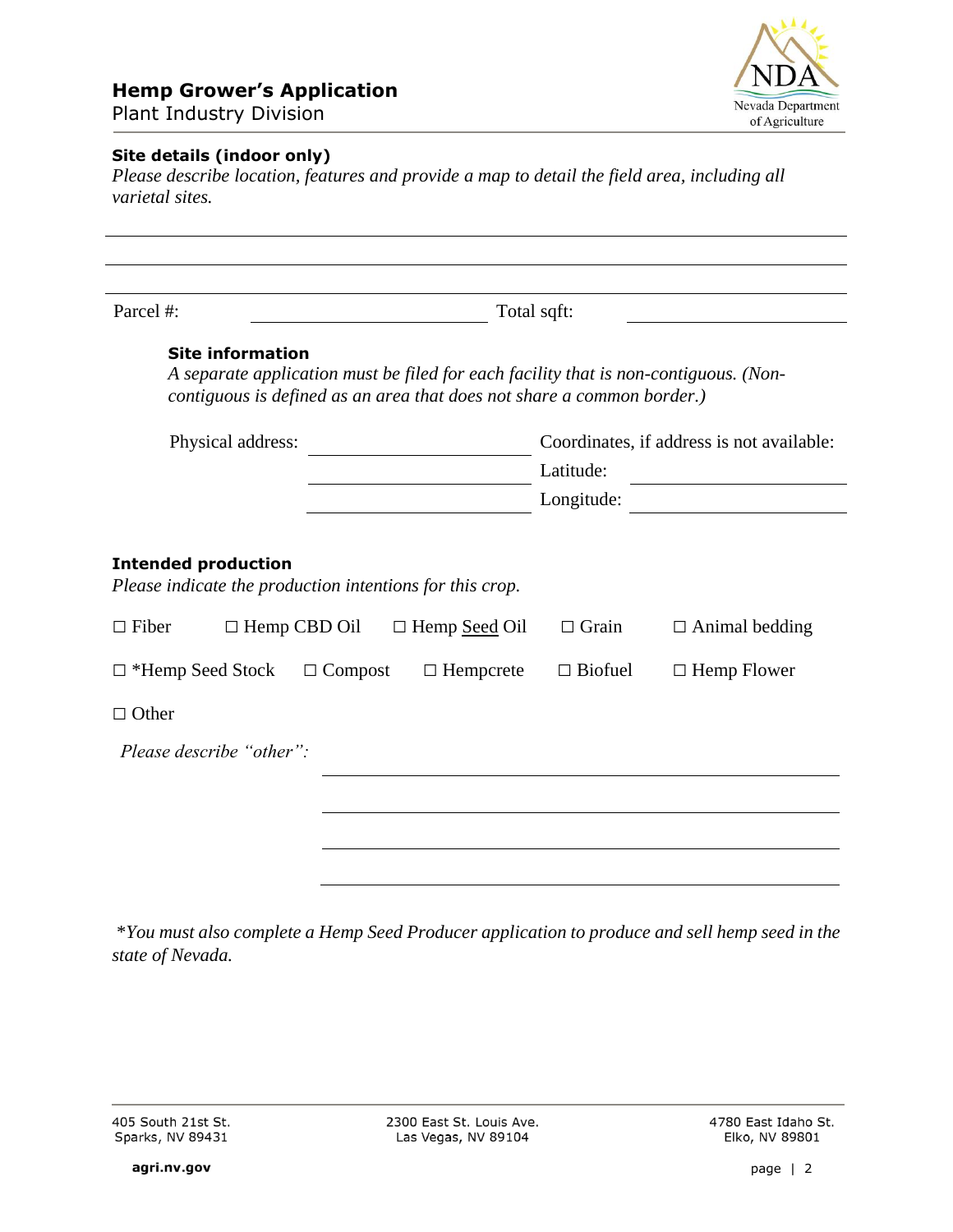# **Hemp Grower's Application**



Plant Industry Division

### **Site details (indoor only)**

*Please describe location, features and provide a map to detail the field area, including all varietal sites.*

| Parcel #:                                                                                                                                                                                 | Total sqft: |                                                        |                |                       |
|-------------------------------------------------------------------------------------------------------------------------------------------------------------------------------------------|-------------|--------------------------------------------------------|----------------|-----------------------|
| <b>Site information</b><br>A separate application must be filed for each facility that is non-contiguous. (Non-<br>contiguous is defined as an area that does not share a common border.) |             |                                                        |                |                       |
| Physical address:                                                                                                                                                                         |             | Coordinates, if address is not available:<br>Latitude: |                |                       |
|                                                                                                                                                                                           |             |                                                        | Longitude:     |                       |
| <b>Intended production</b><br>Please indicate the production intentions for this crop.<br>$\Box$ Fiber<br>$\Box$ Hemp CBD Oil                                                             |             | $\Box$ Hemp Seed Oil                                   | $\Box$ Grain   | $\Box$ Animal bedding |
| $\Box$ *Hemp Seed Stock $\Box$ Compost                                                                                                                                                    |             | $\Box$ Hempcrete                                       | $\Box$ Biofuel | $\Box$ Hemp Flower    |
|                                                                                                                                                                                           |             |                                                        |                |                       |
| $\Box$ Other                                                                                                                                                                              |             |                                                        |                |                       |
| Please describe "other":                                                                                                                                                                  |             |                                                        |                |                       |
|                                                                                                                                                                                           |             |                                                        |                |                       |

\**You must also complete a Hemp Seed Producer application to produce and sell hemp seed in the state of Nevada.*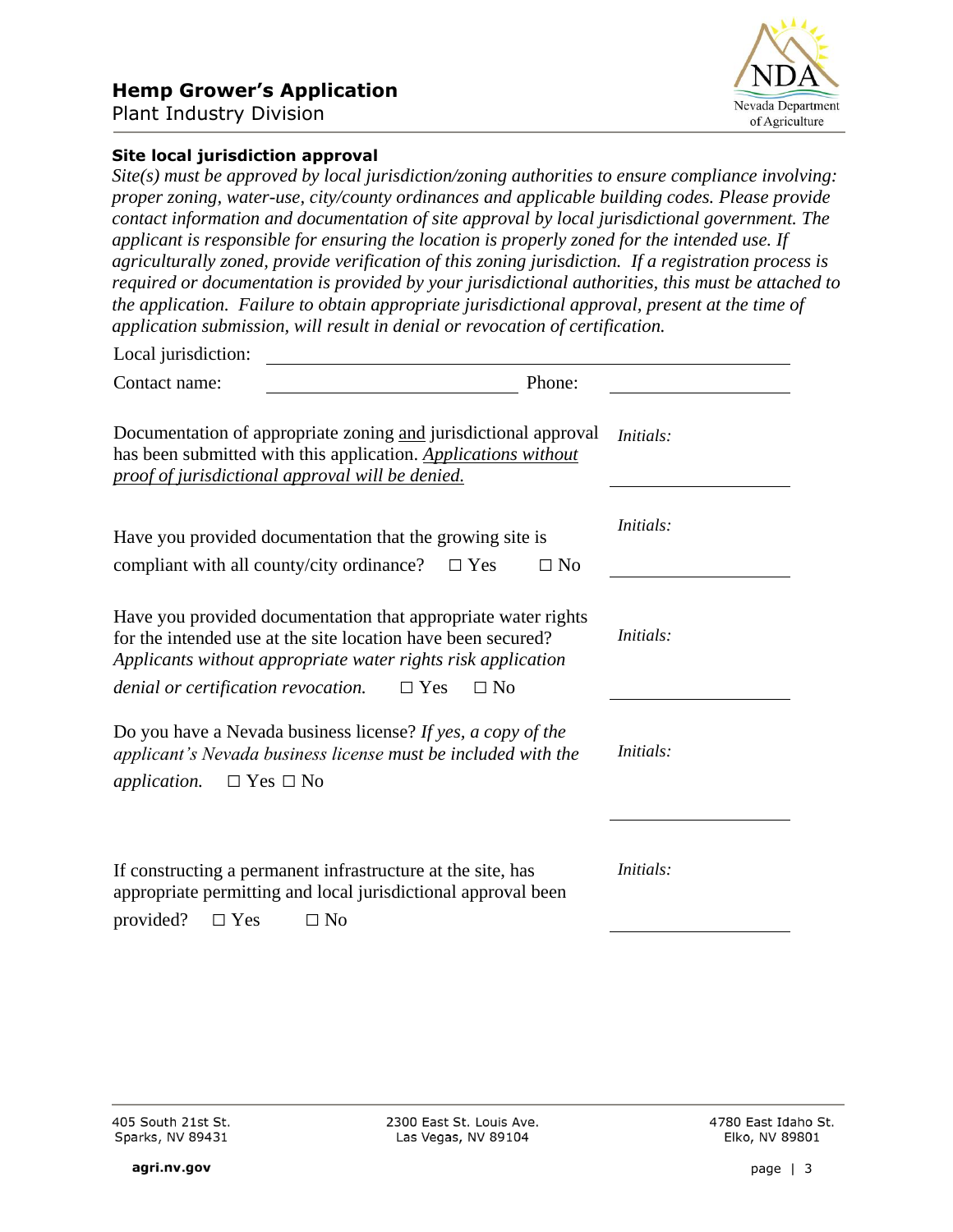## **Hemp Grower's Application**



Plant Industry Division

#### **Site local jurisdiction approval**

*Site(s) must be approved by local jurisdiction/zoning authorities to ensure compliance involving: proper zoning, water-use, city/county ordinances and applicable building codes. Please provide contact information and documentation of site approval by local jurisdictional government. The applicant is responsible for ensuring the location is properly zoned for the intended use. If agriculturally zoned, provide verification of this zoning jurisdiction. If a registration process is required or documentation is provided by your jurisdictional authorities, this must be attached to the application. Failure to obtain appropriate jurisdictional approval, present at the time of application submission, will result in denial or revocation of certification.*

| Local jurisdiction:                                                                                                                                                                                                                                                 |           |                  |
|---------------------------------------------------------------------------------------------------------------------------------------------------------------------------------------------------------------------------------------------------------------------|-----------|------------------|
| Contact name:                                                                                                                                                                                                                                                       | Phone:    |                  |
| Documentation of appropriate zoning and jurisdictional approval<br>has been submitted with this application. Applications without<br>proof of jurisdictional approval will be denied.                                                                               |           | Initials:        |
| Have you provided documentation that the growing site is<br>compliant with all county/city ordinance?<br>$\Box$ Yes                                                                                                                                                 | $\Box$ No | Initials:        |
| Have you provided documentation that appropriate water rights<br>for the intended use at the site location have been secured?<br>Applicants without appropriate water rights risk application<br><i>denial or certification revocation.</i> $\Box$ Yes<br>$\Box$ No |           | Initials:        |
| Do you have a Nevada business license? If yes, a copy of the<br>applicant's Nevada business license must be included with the<br><i>application.</i> $\Box$ Yes $\Box$ No                                                                                           |           | <i>Initials:</i> |
| If constructing a permanent infrastructure at the site, has<br>appropriate permitting and local jurisdictional approval been<br>provided?<br>$\Box$ Yes<br>$\Box$ No                                                                                                |           | <i>Initials:</i> |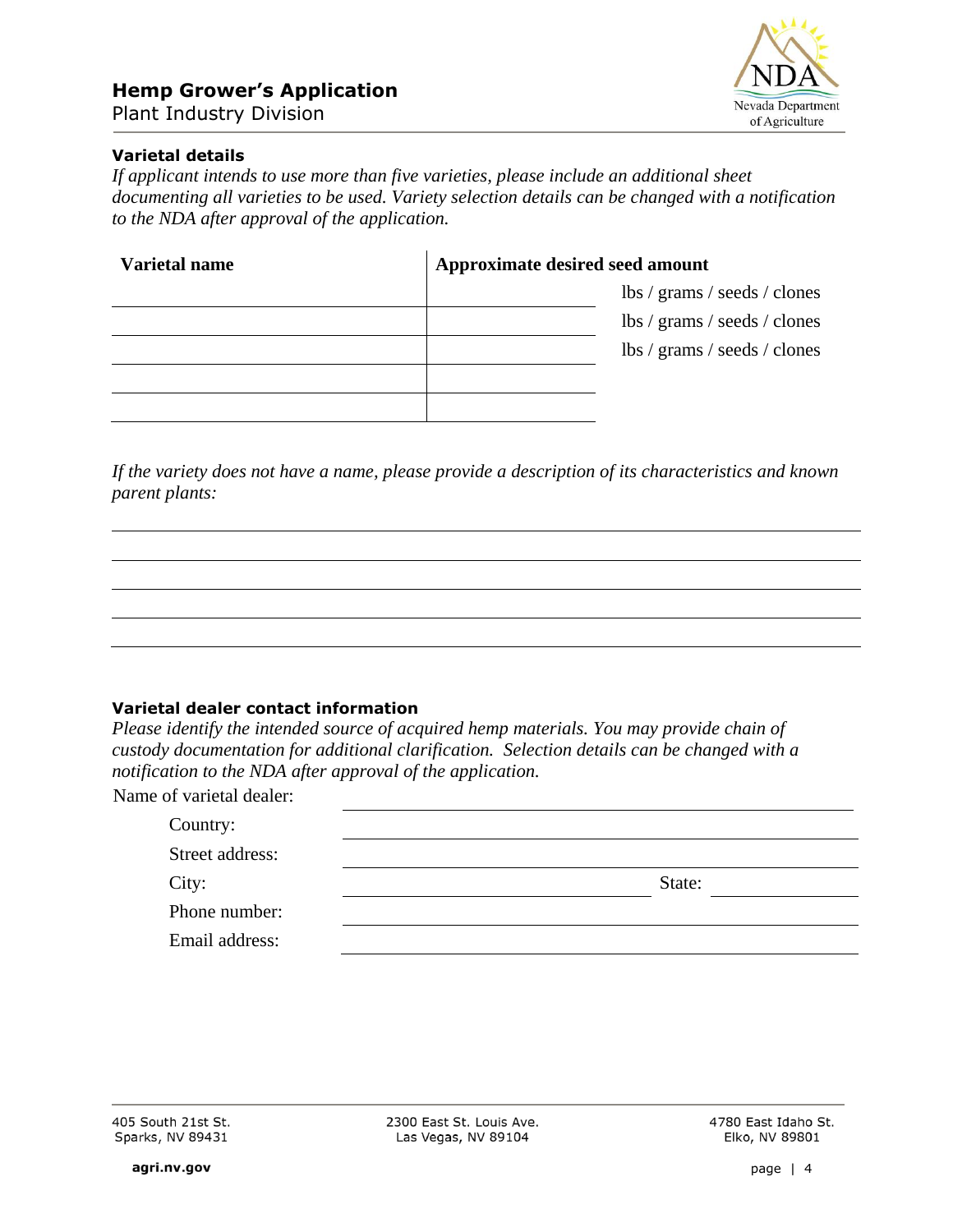

## **Varietal details**

*If applicant intends to use more than five varieties, please include an additional sheet documenting all varieties to be used. Variety selection details can be changed with a notification to the NDA after approval of the application.*

| <b>Varietal name</b> | Approximate desired seed amount |                              |  |
|----------------------|---------------------------------|------------------------------|--|
|                      |                                 | lbs / grams / seeds / clones |  |
|                      |                                 | lbs / grams / seeds / clones |  |
|                      |                                 | lbs / grams / seeds / clones |  |
|                      |                                 |                              |  |
|                      |                                 |                              |  |

*If the variety does not have a name, please provide a description of its characteristics and known parent plants:*

#### **Varietal dealer contact information**

*Please identify the intended source of acquired hemp materials. You may provide chain of custody documentation for additional clarification. Selection details can be changed with a notification to the NDA after approval of the application.*

| Name of varietal dealer: |        |
|--------------------------|--------|
| Country:                 |        |
| Street address:          |        |
| City:                    | State: |
| Phone number:            |        |
| Email address:           |        |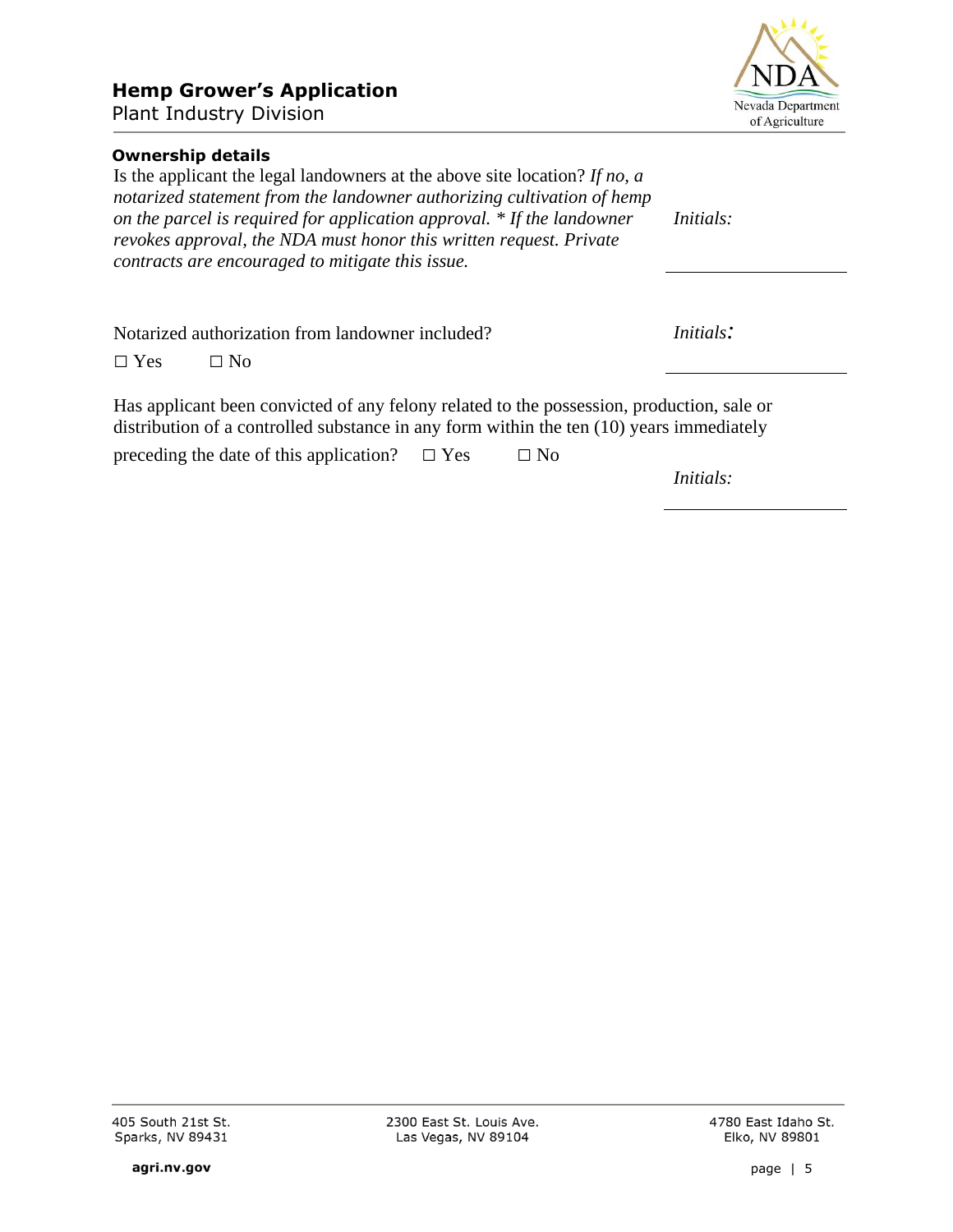# **Hemp Grower's Application**

Plant Industry Division

## **Ownership details**

Is the applicant the legal landowners at the above site location? *If no, a notarized statement from the landowner authorizing cultivation of hemp on the parcel is required for application approval. \* If the landowner revokes approval, the NDA must honor this written request. Private contracts are encouraged to mitigate this issue. Initials:*

Notarized authorization from landowner included?

 $\square$  Yes  $\square$  No

Has applicant been convicted of any felony related to the possession, production, sale or distribution of a controlled substance in any form within the ten (10) years immediately

preceding the date of this application?  $\Box$  Yes  $\Box$  No

*Initials:*

2300 East St. Louis Ave. Las Vegas, NV 89104

4780 East Idaho St.



*Initials:*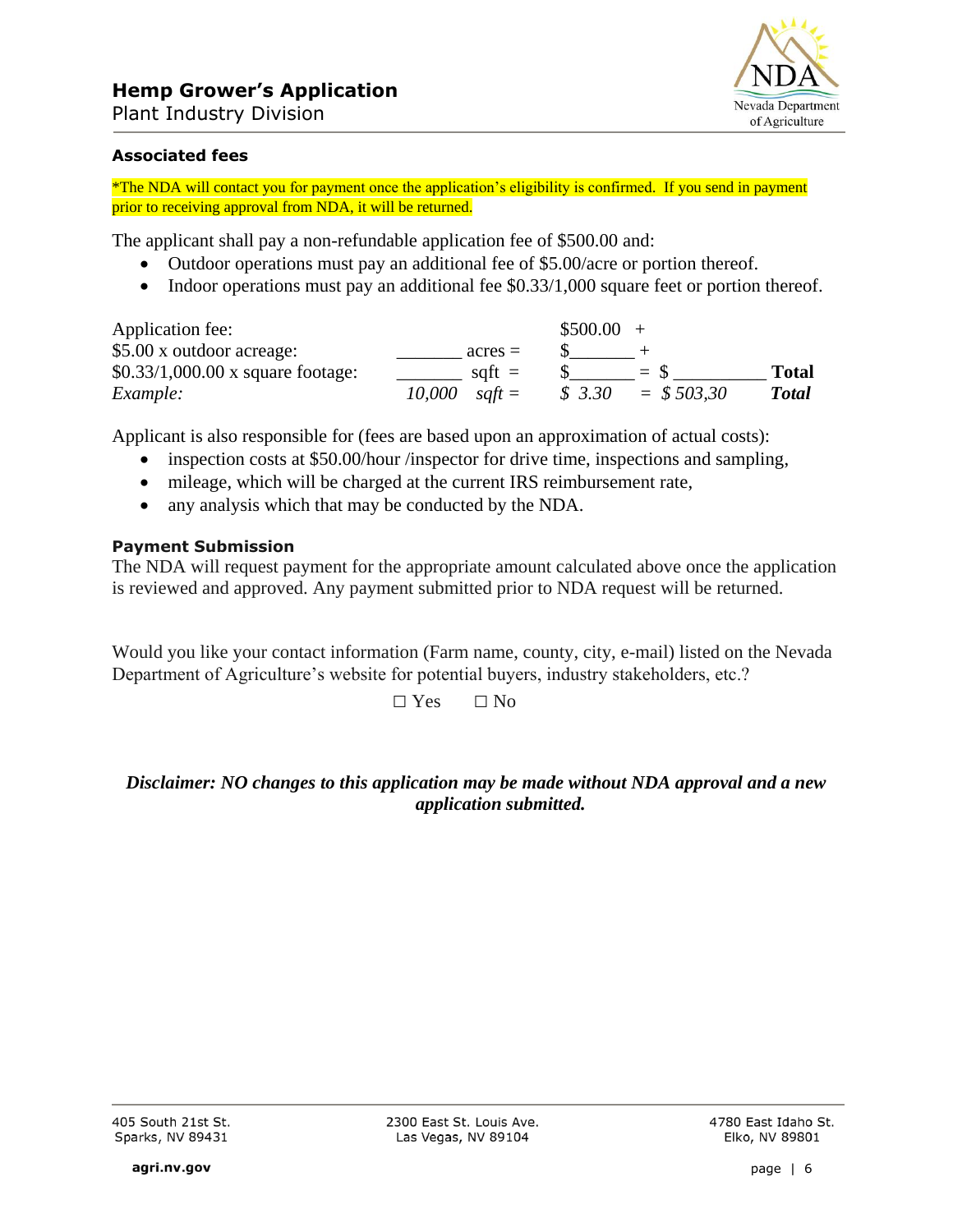

#### **Associated fees**

\*The NDA will contact you for payment once the application's eligibility is confirmed. If you send in payment prior to receiving approval from NDA, it will be returned.

The applicant shall pay a non-refundable application fee of \$500.00 and:

- Outdoor operations must pay an additional fee of \$5.00/acre or portion thereof.
- Indoor operations must pay an additional fee  $$0.33/1,000$  square feet or portion thereof.

| Application fee:                               |                            | $$500.00 +$ |                  |              |
|------------------------------------------------|----------------------------|-------------|------------------|--------------|
| \$5.00 x outdoor acreage:                      | $acres =$                  |             |                  |              |
| $$0.33/1,000.00 \times \text{square}$ footage: | $s$ at $t =$               |             | $=$ $\mathbf{x}$ | <b>Total</b> |
| Example:                                       | 10.000<br>$s$ <i>aft</i> = | \$3.30      | $=$ \$503.30     | <b>Total</b> |

Applicant is also responsible for (fees are based upon an approximation of actual costs):

- inspection costs at \$50.00/hour /inspector for drive time, inspections and sampling,
- mileage, which will be charged at the current IRS reimbursement rate,
- any analysis which that may be conducted by the NDA.

#### **Payment Submission**

The NDA will request payment for the appropriate amount calculated above once the application is reviewed and approved. Any payment submitted prior to NDA request will be returned.

Would you like your contact information (Farm name, county, city, e-mail) listed on the Nevada Department of Agriculture's website for potential buyers, industry stakeholders, etc.?

 $\Box$  Yes  $\Box$  No

## *Disclaimer: NO changes to this application may be made without NDA approval and a new application submitted.*